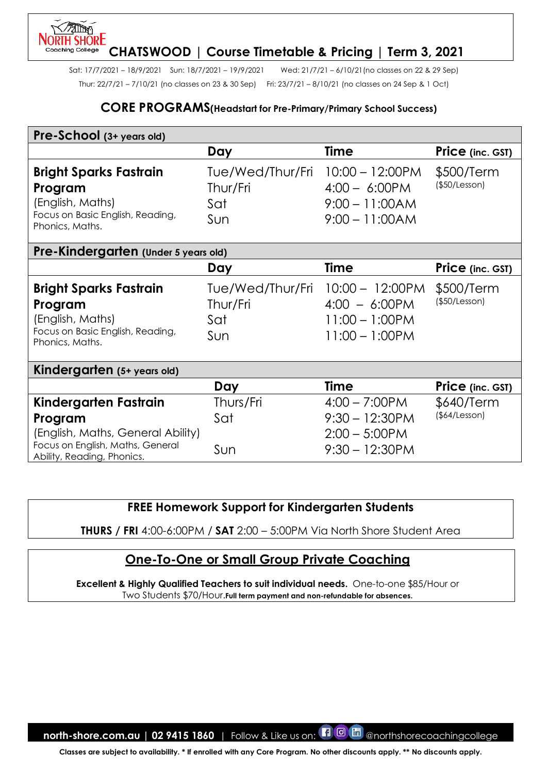#### **JORTH SHORE CHATSWOOD | Course Timetable & Pricing | Term 3, 2021** Coachina College

Sat: 17/7/2021 – 18/9/2021 Sun: 18/7/2021 – 19/9/2021 Wed: 21/7/21 – 6/10/21(no classes on 22 & 29 Sep) Thur: 22/7/21 – 7/10/21 (no classes on 23 & 30 Sep) Fri: 23/7/21 – 8/10/21 (no classes on 24 Sep & 1 Oct)

## **CORE PROGRAMS(Headstart for Pre-Primary/Primary School Success)**

| Pre-School (3+ years old)                                                                                                               |                                            |                                                                                       |                             |
|-----------------------------------------------------------------------------------------------------------------------------------------|--------------------------------------------|---------------------------------------------------------------------------------------|-----------------------------|
|                                                                                                                                         | Day                                        | <b>Time</b>                                                                           | <b>Price</b> (inc. GST)     |
| <b>Bright Sparks Fastrain</b><br>Program<br>(English, Maths)<br>Focus on Basic English, Reading,<br>Phonics, Maths.                     | Tue/Wed/Thur/Fri<br>Thur/Fri<br>Sat<br>Sun | $10:00 - 12:00$ PM<br>$4:00 - 6:00 \text{PM}$<br>$9:00 - 11:00AM$<br>$9:00 - 11:00AM$ | \$500/Term<br>(\$50/Lesson) |
| Pre-Kindergarten (Under 5 years old)                                                                                                    |                                            |                                                                                       |                             |
|                                                                                                                                         | Day                                        | <b>Time</b>                                                                           | Price (inc. GST)            |
| <b>Bright Sparks Fastrain</b><br>Program<br>(English, Maths)<br>Focus on Basic English, Reading,<br>Phonics, Maths.                     | Tue/Wed/Thur/Fri<br>Thur/Fri<br>Sat<br>Sun | $10:00 - 12:00$ PM<br>$4:00 - 6:00 \text{PM}$<br>11:00 - 1:00PM<br>$11:00 - 1:00$ PM  | \$500/Term<br>(\$50/Lesson) |
| Kindergarten (5+ years old)                                                                                                             |                                            |                                                                                       |                             |
|                                                                                                                                         | Day                                        | <b>Time</b>                                                                           | Price (inc. GST)            |
| Kindergarten Fastrain<br>Program<br>(English, Maths, General Ability)<br>Focus on English, Maths, General<br>Ability, Reading, Phonics. | Thurs/Fri<br>Sat<br>Sun                    | $4:00 - 7:00$ PM<br>$9:30 - 12:30$ PM<br>$2:00 - 5:00$ PM<br>$9:30 - 12:30$ PM        | \$640/Term<br>(\$4/Lesson)  |

# **FREE Homework Support for Kindergarten Students**

**THURS / FRI** 4:00-6:00PM / **SAT** 2:00 – 5:00PM Via North Shore Student Area

# **One-To-One or Small Group Private Coaching**

**Excellent & Highly Qualified Teachers to suit individual needs.** One-to-one \$85/Hour or Two Students \$70/Hour.**Full term payment and non-refundable for absences.**

**north-shore.com.au | 02 9415 1860** | Follow & Like us on: **[1 0 m** @northshorecoachingcollege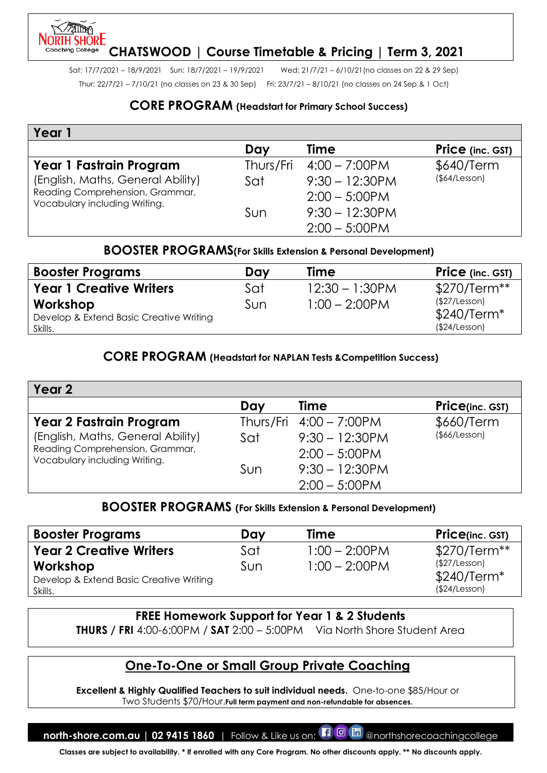Sat: 17/7/2021 – 18/9/2021 Sun: 18/7/2021 – 19/9/2021 Wed: 21/7/21 – 6/10/21(no classes on 22 & 29 Sep) Thur: 22/7/21 – 7/10/21 (no classes on 23 & 30 Sep) Fri: 23/7/21 – 8/10/21 (no classes on 24 Sep & 1 Oct)

# **CORE PROGRAM (Headstart for Primary School Success)**

| Year 1                                                           |     |                                   |                  |
|------------------------------------------------------------------|-----|-----------------------------------|------------------|
|                                                                  | Day | <b>Time</b>                       | Price (inc. GST) |
| Year 1 Fastrain Program                                          |     | Thurs/Fri $4:00 - 7:00 \text{PM}$ | \$640/Term       |
| (English, Maths, General Ability)                                | Sat | $9:30 - 12:30$ PM                 | (§64/Lesson)     |
| Reading Comprehension, Grammar,<br>Vocabulary including Writing. |     | $2:00 - 5:00$ PM                  |                  |
|                                                                  | Sun | $9:30 - 12:30$ PM                 |                  |
|                                                                  |     | $2:00 - 5:00$ PM                  |                  |

# **BOOSTER PROGRAMS(For Skills Extension & Personal Development)**

| <b>Booster Programs</b>                                        | Day | Time              | <b>Price</b> (inc. GST)                        |
|----------------------------------------------------------------|-----|-------------------|------------------------------------------------|
| <b>Year 1 Creative Writers</b>                                 | Sat | $12:30 - 1:30$ PM | $$270/Term**$                                  |
| Workshop<br>Develop & Extend Basic Creative Writing<br>Skills. | Sun | $1:00 - 2:00$ PM  | (\$27/Lesson)<br>$$240/Term*$<br>(\$24/Lesson) |

## **CORE PROGRAM (Headstart for NAPLAN Tests &Competition Success)**

| Year 2                                                           |     |                                   |                     |
|------------------------------------------------------------------|-----|-----------------------------------|---------------------|
|                                                                  | Day | <b>Time</b>                       | Price(inc. GST)     |
| <b>Year 2 Fastrain Program</b>                                   |     | Thurs/Fri $4:00 - 7:00 \text{PM}$ | \$660/Term          |
| (English, Maths, General Ability)                                | Sat | $9:30 - 12:30$ PM                 | $($ \$66/Lesson $)$ |
| Reading Comprehension, Grammar,<br>Vocabulary including Writing. |     | $2:00 - 5:00$ PM                  |                     |
|                                                                  | Sun | $9:30 - 12:30$ PM                 |                     |
|                                                                  |     | $2:00 - 5:00$ PM                  |                     |

## **BOOSTER PROGRAMS (For Skills Extension & Personal Development)**

| <b>Booster Programs</b>                            | Day | <b>Time</b>      | <b>Price(inc. GST)</b>        |
|----------------------------------------------------|-----|------------------|-------------------------------|
| <b>Year 2 Creative Writers</b>                     | Sat | $1:00 - 2:00$ PM | $$270/Term**$                 |
| Workshop                                           | Sun | $1:00 - 2:00$ PM | (\$27/Lesson)<br>$$240/Term*$ |
| Develop & Extend Basic Creative Writing<br>Skills. |     |                  | (\$24/Lesson)                 |

## **FREE Homework Support for Year 1 & 2 Students**

**THURS / FRI** 4:00-6:00PM / **SAT** 2:00 – 5:00PM Via North Shore Student Area

# **One-To-One or Small Group Private Coaching**

**Excellent & Highly Qualified Teachers to suit individual needs.** One-to-one \$85/Hour or Two Students \$70/Hour.**Full term payment and non-refundable for absences.**

**north-shore.com.au | 02 9415 1860** | Follow & Like us on: **[1 0 m** @northshorecoachingcollege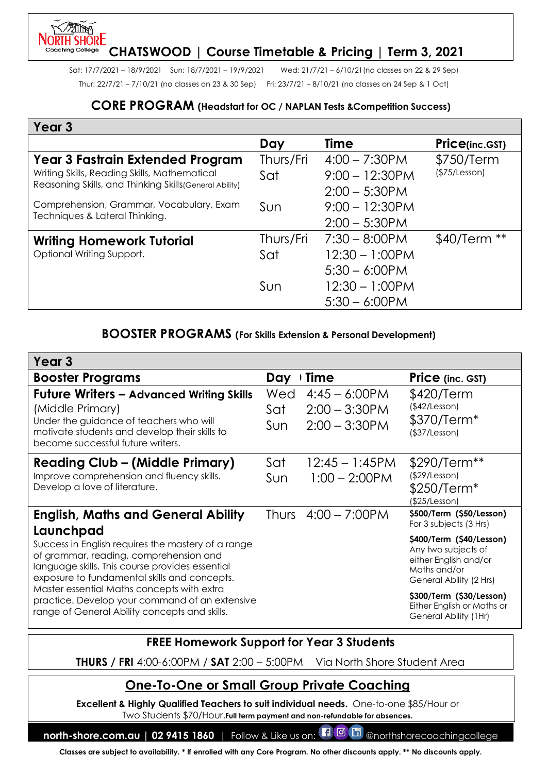#### NORTH SHOR**L CHATSWOOD | Course Timetable & Pricing | Term 3, 2021** Coachina College

Sat: 17/7/2021 – 18/9/2021 Sun: 18/7/2021 – 19/9/2021 Wed: 21/7/21 – 6/10/21(no classes on 22 & 29 Sep) Thur: 22/7/21 – 7/10/21 (no classes on 23 & 30 Sep) Fri: 23/7/21 – 8/10/21 (no classes on 24 Sep & 1 Oct)

## **CORE PROGRAM (Headstart for OC / NAPLAN Tests &Competition Success)**

| Year <sub>3</sub>                                       |           |                   |                |
|---------------------------------------------------------|-----------|-------------------|----------------|
|                                                         | Day       | Time              | Price(inc.GST) |
| <b>Year 3 Fastrain Extended Program</b>                 | Thurs/Fri | $4:00 - 7:30$ PM  | \$750/Term     |
| Writing Skills, Reading Skills, Mathematical            | Sat       | $9:00 - 12:30PM$  | (\$75/Lesson)  |
| Reasoning Skills, and Thinking Skills (General Ability) |           | $2:00 - 5:30$ PM  |                |
| Comprehension, Grammar, Vocabulary, Exam                | Sun       | $9:00 - 12:30PM$  |                |
| Techniques & Lateral Thinking.                          |           | $2:00 - 5:30$ PM  |                |
| <b>Writing Homework Tutorial</b>                        | Thurs/Fri | $7:30 - 8:00$ PM  | $$40/Term **$  |
| Optional Writing Support.                               | Sat       | $12:30 - 1:00$ PM |                |
|                                                         |           | $5:30 - 6:00$ PM  |                |
|                                                         | Sun       | $12:30 - 1:00$ PM |                |
|                                                         |           | $5:30 - 6:00$ PM  |                |

# **BOOSTER PROGRAMS (For Skills Extension & Personal Development)**

| Year <sub>3</sub>                                                                                                                                                                                                                                          |                    |                                                          |                                                                                                                     |
|------------------------------------------------------------------------------------------------------------------------------------------------------------------------------------------------------------------------------------------------------------|--------------------|----------------------------------------------------------|---------------------------------------------------------------------------------------------------------------------|
| <b>Booster Programs</b>                                                                                                                                                                                                                                    | Day                | Time                                                     | Price (inc. GST)                                                                                                    |
| <b>Future Writers - Advanced Writing Skills</b><br>(Middle Primary)<br>Under the guidance of teachers who will<br>motivate students and develop their skills to<br>become successful future writers.                                                       | Wed<br>Sat<br>Sun. | $4:45 - 6:00$ PM<br>$2:00 - 3:30$ PM<br>$2:00 - 3:30$ PM | \$420/Term<br>(\$42/Lesson)<br>\$370/Term*<br>(\$37/Lesson)                                                         |
| <b>Reading Club - (Middle Primary)</b><br>Improve comprehension and fluency skills.<br>Develop a love of literature.                                                                                                                                       | Sat<br>Sun         | $12:45 - 1:45$ PM<br>$1:00 - 2:00$ PM                    | \$290/Term**<br>(\$29/Lesson)<br>\$250/Term*<br>(\$25/Lesson)                                                       |
| <b>English, Maths and General Ability</b>                                                                                                                                                                                                                  | <b>Thurs</b>       | $4:00 - 7:00$ PM                                         | \$500/Term (\$50/Lesson)<br>For 3 subjects (3 Hrs)                                                                  |
| Launchpad<br>Success in English requires the mastery of a range<br>of grammar, reading, comprehension and<br>language skills. This course provides essential<br>exposure to fundamental skills and concepts.<br>Master essential Maths concepts with extra |                    |                                                          | \$400/Term (\$40/Lesson)<br>Any two subjects of<br>either English and/or<br>Maths and/or<br>General Ability (2 Hrs) |
| practice. Develop your command of an extensive<br>range of General Ability concepts and skills.                                                                                                                                                            |                    |                                                          | \$300/Term (\$30/Lesson)<br>Either English or Maths or<br>General Ability (1Hr)                                     |

# **FREE Homework Support for Year 3 Students**

**THURS / FRI** 4:00-6:00PM / **SAT** 2:00 – 5:00PM Via North Shore Student Area

# **One-To-One or Small Group Private Coaching**

**Excellent & Highly Qualified Teachers to suit individual needs.** One-to-one \$85/Hour or Two Students \$70/Hour.**Full term payment and non-refundable for absences.**

**north-shore.com.au | 02 9415 1860** | Follow & Like us on: **[1 0 m** @northshorecoachingcollege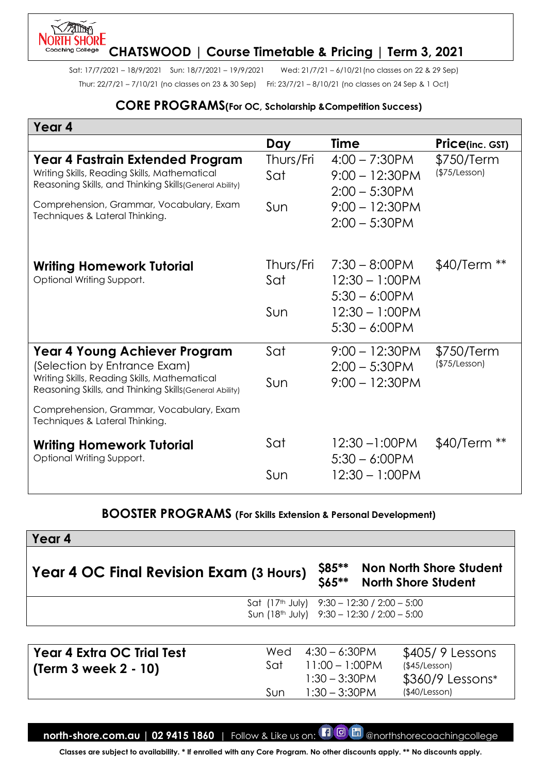#### **NORTH SHORE CHATSWOOD | Course Timetable & Pricing | Term 3, 2021** Coachina College

Thur: 22/7/21 – 7/10/21 (no classes on 23 & 30 Sep) Fri: 23/7/21 – 8/10/21 (no classes on 24 Sep & 1 Oct)

Sat: 17/7/2021 – 18/9/2021 Sun: 18/7/2021 – 19/9/2021 Wed: 21/7/21 – 6/10/21(no classes on 22 & 29 Sep)

### **CORE PROGRAMS(For OC, Scholarship &Competition Success)**

| Year 4                                                                                                                                      |                  |                                                           |                             |
|---------------------------------------------------------------------------------------------------------------------------------------------|------------------|-----------------------------------------------------------|-----------------------------|
|                                                                                                                                             | Day              | <b>Time</b>                                               | Price(inc. GST)             |
| Year 4 Fastrain Extended Program<br>Writing Skills, Reading Skills, Mathematical<br>Reasoning Skills, and Thinking Skills (General Ability) | Thurs/Fri<br>Sat | $4:00 - 7:30$ PM<br>$9:00 - 12:30$ PM<br>$2:00 - 5:30$ PM | \$750/Term<br>(\$75/Lesson) |
| Comprehension, Grammar, Vocabulary, Exam<br>Techniques & Lateral Thinking.                                                                  | Sun              | $9:00 - 12:30$ PM<br>$2:00 - 5:30$ PM                     |                             |
| <b>Writing Homework Tutorial</b><br>Optional Writing Support.                                                                               | Thurs/Fri<br>Sat | $7:30 - 8:00$ PM<br>$12:30 - 1:00$ PM<br>$5:30 - 6:00PM$  | \$40/Term **                |
|                                                                                                                                             | Sun              | $12:30 - 1:00$ PM<br>$5:30 - 6:00$ PM                     |                             |
| Year 4 Young Achiever Program<br>(Selection by Entrance Exam)                                                                               | Sat              | $9:00 - 12:30$ PM<br>$2:00 - 5:30$ PM                     | \$750/Term<br>(\$75/Lesson) |
| Writing Skills, Reading Skills, Mathematical<br>Reasoning Skills, and Thinking Skills (General Ability)                                     | Sun              | $9:00 - 12:30$ PM                                         |                             |
| Comprehension, Grammar, Vocabulary, Exam<br>Techniques & Lateral Thinking.                                                                  |                  |                                                           |                             |
| <b>Writing Homework Tutorial</b><br>Optional Writing Support.                                                                               | Sat              | $12:30 - 1:00$ PM<br>$5:30 - 6:00PM$                      | \$40/Term **                |
|                                                                                                                                             | Sun              | $12:30 - 1:00$ PM                                         |                             |

#### **BOOSTER PROGRAMS (For Skills Extension & Personal Development)**

| Year 4                                                                                           |                                                           |                                                              |
|--------------------------------------------------------------------------------------------------|-----------------------------------------------------------|--------------------------------------------------------------|
| <b>Year 4 OC Final Revision Exam (3 Hours)</b>                                                   | $$85***$<br>$$65***$                                      | <b>Non North Shore Student</b><br><b>North Shore Student</b> |
| Sat $(17th$ July) $9:30 - 12:30 / 2:00 - 5:00$<br>Sun $(18th$ July) $9:30 - 12:30 / 2:00 - 5:00$ |                                                           |                                                              |
|                                                                                                  |                                                           |                                                              |
| Wed<br><b>Year 4 Extra OC Trial Test</b><br>Sat<br>(Term 3 week 2 - 10)                          | $4:30 - 6:30$ PM<br>$11:00 - 1:00$ PM<br>$1:30 - 3:30$ PM | \$405/9 Lessons<br>(\$45/Lesson)<br>\$360/9 Lessons*         |

**north-shore.com.au | 02 9415 1860** | Follow & Like us on: **[1 0 had** @northshorecoachingcollege

Sun

1:30 – 3:30PM

(\$40/Lesson)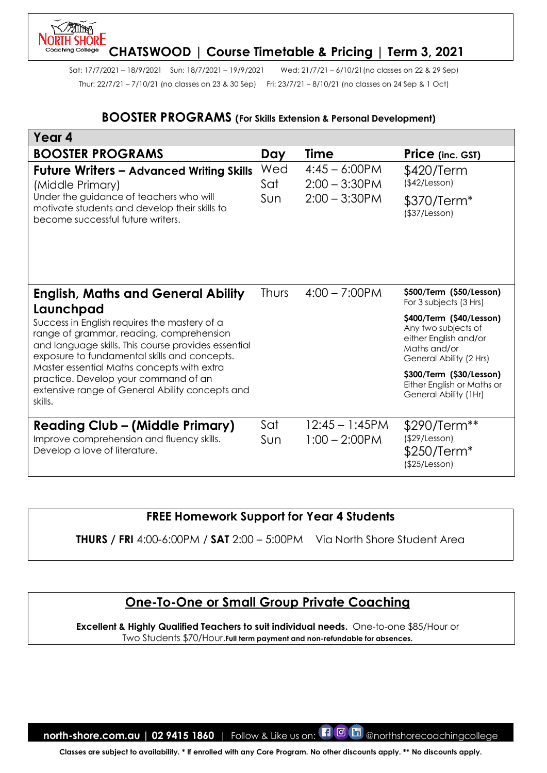#### NORTH SHOR**L CHATSWOOD | Course Timetable & Pricing | Term 3, 2021** Coachina College

Sat: 17/7/2021 – 18/9/2021 Sun: 18/7/2021 – 19/9/2021 Wed: 21/7/21 – 6/10/21(no classes on 22 & 29 Sep) Thur: 22/7/21 – 7/10/21 (no classes on 23 & 30 Sep) Fri: 23/7/21 – 8/10/21 (no classes on 24 Sep & 1 Oct)

#### **BOOSTER PROGRAMS (For Skills Extension & Personal Development)**

| Year 4                                                                                                                                                                                          |            |                                       |                                                                                                                     |
|-------------------------------------------------------------------------------------------------------------------------------------------------------------------------------------------------|------------|---------------------------------------|---------------------------------------------------------------------------------------------------------------------|
| <b>BOOSTER PROGRAMS</b>                                                                                                                                                                         | Day        | <b>Time</b>                           | <b>Price</b> (inc. GST)                                                                                             |
| <b>Future Writers - Advanced Writing Skills</b><br>(Middle Primary)                                                                                                                             | Wed<br>Sat | $4:45 - 6:00$ PM<br>$2:00 - 3:30$ PM  | \$420/Term<br>(\$42/Lesson)                                                                                         |
| Under the guidance of teachers who will<br>motivate students and develop their skills to<br>become successful future writers.                                                                   | Sun        | $2:00 - 3:30$ PM                      | \$370/Term <sup>*</sup><br>(\$37/Lesson)                                                                            |
| <b>English, Maths and General Ability</b><br>Launchpad                                                                                                                                          | Thurs      | $4:00 - 7:00$ PM                      | \$500/Term (\$50/Lesson)<br>For 3 subjects (3 Hrs)                                                                  |
| Success in English requires the mastery of a<br>range of grammar, reading, comprehension<br>and language skills. This course provides essential<br>exposure to fundamental skills and concepts. |            |                                       | \$400/Term (\$40/Lesson)<br>Any two subjects of<br>either English and/or<br>Maths and/or<br>General Ability (2 Hrs) |
| Master essential Maths concepts with extra<br>practice. Develop your command of an<br>extensive range of General Ability concepts and<br>skills.                                                |            |                                       | \$300/Term (\$30/Lesson)<br>Either English or Maths or<br>General Ability (1Hr)                                     |
| Reading Club – (Middle Primary)<br>Improve comprehension and fluency skills.<br>Develop a love of literature.                                                                                   | Sat<br>Sun | $12:45 - 1:45$ PM<br>$1:00 - 2:00$ PM | \$290/Term**<br>(\$29/Lesson)<br>$$250/Term*$<br>(\$25/Lesson)                                                      |

**FREE Homework Support for Year 4 Students**

**THURS / FRI** 4:00-6:00PM / **SAT** 2:00 – 5:00PM Via North Shore Student Area

# **One-To-One or Small Group Private Coaching**

**Excellent & Highly Qualified Teachers to suit individual needs.** One-to-one \$85/Hour or Two Students \$70/Hour.**Full term payment and non-refundable for absences.**

**north-shore.com.au | 02 9415 1860** | Follow & Like us on: **[1 0 m** @northshorecoachingcollege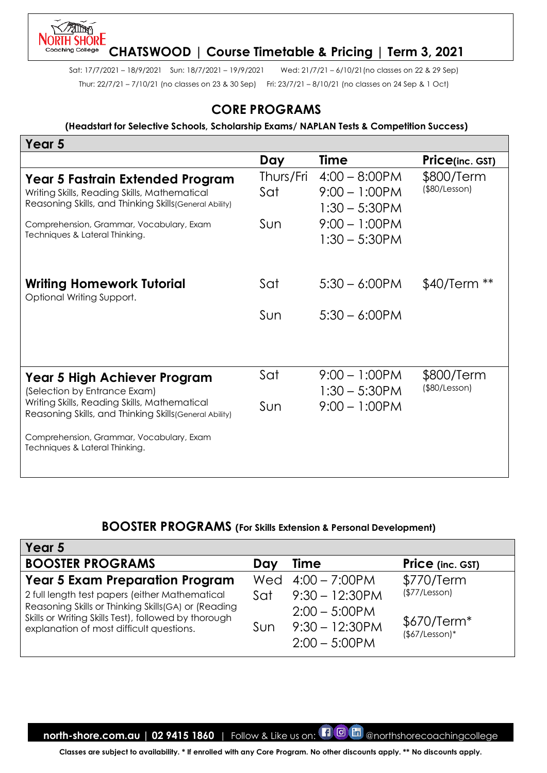

Sat: 17/7/2021 – 18/9/2021 Sun: 18/7/2021 – 19/9/2021 Wed: 21/7/21 – 6/10/21(no classes on 22 & 29 Sep) Thur: 22/7/21 – 7/10/21 (no classes on 23 & 30 Sep) Fri: 23/7/21 – 8/10/21 (no classes on 24 Sep & 1 Oct)

# **CORE PROGRAMS**

#### **(Headstart for Selective Schools, Scholarship Exams/ NAPLAN Tests & Competition Success)**

| Year 5                                                                                                                                      |                  |                                                          |                                   |
|---------------------------------------------------------------------------------------------------------------------------------------------|------------------|----------------------------------------------------------|-----------------------------------|
|                                                                                                                                             | Day              | Time                                                     | Price(inc. GST)                   |
| Year 5 Fastrain Extended Program<br>Writing Skills, Reading Skills, Mathematical<br>Reasoning Skills, and Thinking Skills (General Ability) | Thurs/Fri<br>Sat | $4:00 - 8:00$ PM<br>$9:00 - 1:00$ PM<br>$1:30 - 5:30$ PM | \$800/Term<br>$($ \$80/Lesson $)$ |
| Comprehension, Grammar, Vocabulary, Exam<br>Techniques & Lateral Thinking.                                                                  | Sun              | $9:00 - 1:00$ PM<br>$1:30 - 5:30$ PM                     |                                   |
| Writing Homework Tutorial<br>Optional Writing Support.                                                                                      | Sat              | $5:30 - 6:00$ PM                                         | \$40/Term                         |
|                                                                                                                                             | Sun              | $5:30 - 6:00$ PM                                         |                                   |
| Year 5 High Achiever Program<br>(Selection by Entrance Exam)                                                                                | Sat              | $9:00 - 1:00$ PM<br>$1:30 - 5:30$ PM                     | \$800/Term<br>$($ \$80/Lesson $)$ |
| Writing Skills, Reading Skills, Mathematical<br>Reasoning Skills, and Thinking Skills (General Ability)                                     | Sun              | $9:00 - 1:00$ PM                                         |                                   |
| Comprehension, Grammar, Vocabulary, Exam<br>Techniques & Lateral Thinking.                                                                  |                  |                                                          |                                   |

### **BOOSTER PROGRAMS (For Skills Extension & Personal Development)**

| Year 5                                                                                                                                                                                                     |            |                                                                                |                                                 |
|------------------------------------------------------------------------------------------------------------------------------------------------------------------------------------------------------------|------------|--------------------------------------------------------------------------------|-------------------------------------------------|
| <b>BOOSTER PROGRAMS</b>                                                                                                                                                                                    | Day        | Time                                                                           | Price (inc. GST)                                |
| <b>Year 5 Exam Preparation Program</b>                                                                                                                                                                     |            | Wed $4:00 - 7:00$ PM                                                           | \$770/Term                                      |
| 2 full length test papers (either Mathematical<br>Reasoning Skills or Thinking Skills (GA) or (Reading<br>Skills or Writing Skills Test), followed by thorough<br>explanation of most difficult questions. | Sat<br>Sun | $9:30 - 12:30$ PM<br>$2:00 - 5:00$ PM<br>$9:30 - 12:30$ PM<br>$2:00 - 5:00$ PM | (\$77/Lesson)<br>\$670/Term*<br>$($67/Lesson)*$ |

**north-shore.com.au | 02 9415 1860** | Follow & Like us on: **[1 0 m** @northshorecoachingcollege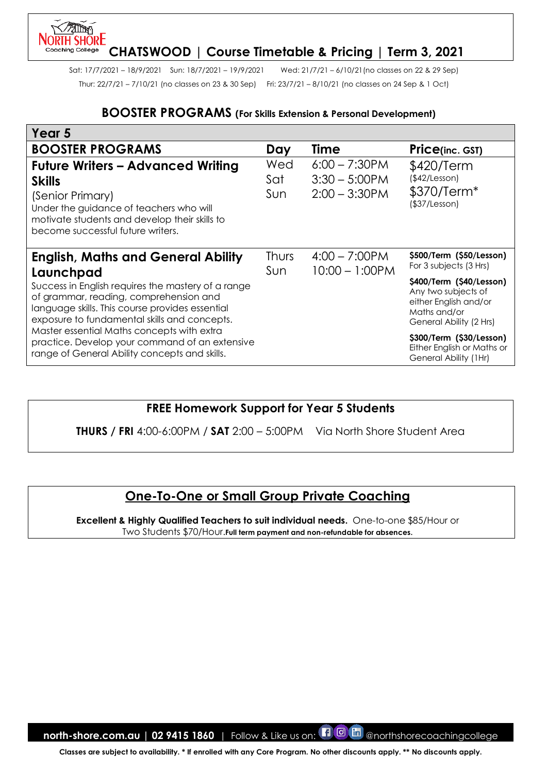Sat: 17/7/2021 – 18/9/2021 Sun: 18/7/2021 – 19/9/2021 Wed: 21/7/21 – 6/10/21(no classes on 22 & 29 Sep) Thur: 22/7/21 – 7/10/21 (no classes on 23 & 30 Sep) Fri: 23/7/21 – 8/10/21 (no classes on 24 Sep & 1 Oct)

#### **BOOSTER PROGRAMS (For Skills Extension & Personal Development)**

| Year 5                                                                                                                                                                                                                                        |                     |                                                          |                                                                                                                     |
|-----------------------------------------------------------------------------------------------------------------------------------------------------------------------------------------------------------------------------------------------|---------------------|----------------------------------------------------------|---------------------------------------------------------------------------------------------------------------------|
| <b>BOOSTER PROGRAMS</b>                                                                                                                                                                                                                       | Day                 | Time                                                     | <b>Price(inc. GST)</b>                                                                                              |
| <b>Future Writers - Advanced Writing</b><br><b>Skills</b><br>(Senior Primary)<br>Under the guidance of teachers who will<br>motivate students and develop their skills to<br>become successful future writers.                                | Wed<br>Sat<br>Sun   | $6:00 - 7:30$ PM<br>$3:30 - 5:00$ PM<br>$2:00 - 3:30$ PM | \$420/Term<br>(\$42/Lesson)<br>\$370/Term*<br>$($ \$37/Lesson $)$                                                   |
| <b>English, Maths and General Ability</b><br>Launchpad                                                                                                                                                                                        | Thurs<br><b>Sun</b> | $4:00 - 7:00$ PM<br>$10:00 - 1:00$ PM                    | \$500/Term (\$50/Lesson)<br>For 3 subjects (3 Hrs)                                                                  |
| Success in English requires the mastery of a range<br>of grammar, reading, comprehension and<br>language skills. This course provides essential<br>exposure to fundamental skills and concepts.<br>Master essential Maths concepts with extra |                     |                                                          | \$400/Term (\$40/Lesson)<br>Any two subjects of<br>either English and/or<br>Maths and/or<br>General Ability (2 Hrs) |
| practice. Develop your command of an extensive<br>range of General Ability concepts and skills.                                                                                                                                               |                     |                                                          | \$300/Term (\$30/Lesson)<br>Either English or Maths or<br>General Ability (1Hr)                                     |

# **FREE Homework Support for Year 5 Students**

**THURS / FRI** 4:00-6:00PM / **SAT** 2:00 – 5:00PM Via North Shore Student Area

# **One-To-One or Small Group Private Coaching**

**Excellent & Highly Qualified Teachers to suit individual needs.** One-to-one \$85/Hour or Two Students \$70/Hour.**Full term payment and non-refundable for absences.**

**north-shore.com.au | 02 9415 1860** | Follow & Like us on: **[1 0 m** @northshorecoachingcollege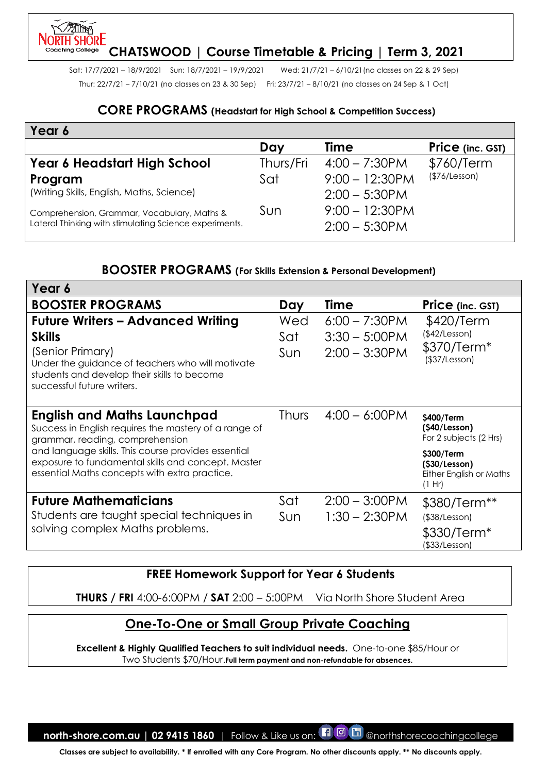Sat: 17/7/2021 – 18/9/2021 Sun: 18/7/2021 – 19/9/2021 Wed: 21/7/21 – 6/10/21(no classes on 22 & 29 Sep) Thur: 22/7/21 – 7/10/21 (no classes on 23 & 30 Sep) Fri: 23/7/21 – 8/10/21 (no classes on 24 Sep & 1 Oct)

#### **CORE PROGRAMS (Headstart for High School & Competition Success)**

| Year 6                                                                                                |           |                                      |                         |
|-------------------------------------------------------------------------------------------------------|-----------|--------------------------------------|-------------------------|
|                                                                                                       | Day       | <b>Time</b>                          | <b>Price</b> (inc. GST) |
| Year 6 Headstart High School                                                                          | Thurs/Fri | $4:00 - 7:30$ PM                     | \$760/Term              |
| Program                                                                                               | Sat       | $9:00 - 12:30PM$                     | (\$76/Lesson)           |
| (Writing Skills, English, Maths, Science)                                                             |           | $2:00 - 5:30$ PM                     |                         |
| Comprehension, Grammar, Vocabulary, Maths &<br>Lateral Thinking with stimulating Science experiments. | Sun       | $9:00 - 12:30PM$<br>$2:00 - 5:30$ PM |                         |

#### **BOOSTER PROGRAMS (For Skills Extension & Personal Development)**

| Year 6                                                                                                                                                                                                         |                   |                                                          |                                                                  |
|----------------------------------------------------------------------------------------------------------------------------------------------------------------------------------------------------------------|-------------------|----------------------------------------------------------|------------------------------------------------------------------|
| <b>BOOSTER PROGRAMS</b>                                                                                                                                                                                        | Day               | Time                                                     | Price (inc. GST)                                                 |
| <b>Future Writers - Advanced Writing</b><br><b>Skills</b><br>(Senior Primary)<br>Under the guidance of teachers who will motivate<br>students and develop their skills to become<br>successful future writers. | Wed<br>Sat<br>Sun | $6:00 - 7:30$ PM<br>$3:30 - 5:00$ PM<br>$2:00 - 3:30$ PM | \$420/Term<br>(\$42/Lesson)<br>\$370/Term*<br>(\$37/Lesson)      |
| <b>English and Maths Launchpad</b><br>Success in English requires the mastery of a range of<br>grammar, reading, comprehension                                                                                 | <b>Thurs</b>      | $4:00 - 6:00$ PM                                         | \$400/Term<br>(S40/Lesson)<br>For 2 subjects (2 Hrs)             |
| and language skills. This course provides essential<br>exposure to fundamental skills and concept. Master<br>essential Maths concepts with extra practice.                                                     |                   |                                                          | \$300/Term<br>(\$30/Lesson)<br>Either English or Maths<br>(1 Hr) |
| <b>Future Mathematicians</b>                                                                                                                                                                                   | Sat               | $2:00 - 3:00$ PM                                         | \$380/Term**                                                     |
| Students are taught special techniques in                                                                                                                                                                      | Sun               | $1:30 - 2:30$ PM                                         | $($ \$38/Lesson $)$                                              |
| solving complex Maths problems.                                                                                                                                                                                |                   |                                                          | \$330/Term <sup>*</sup><br>(\$33/Lesson)                         |

# **FREE Homework Support for Year 6 Students**

**THURS / FRI** 4:00-6:00PM / **SAT** 2:00 – 5:00PM Via North Shore Student Area

# **One-To-One or Small Group Private Coaching**

**Excellent & Highly Qualified Teachers to suit individual needs.** One-to-one \$85/Hour or Two Students \$70/Hour.**Full term payment and non-refundable for absences.**

**north-shore.com.au | 02 9415 1860** | Follow & Like us on: **[1 0 m** @northshorecoachingcollege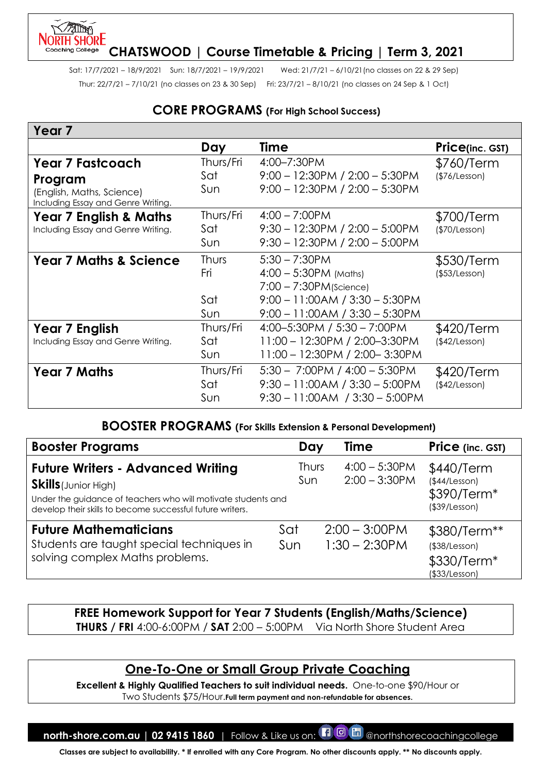# JORTH SHOR**I**-**CHATSWOOD | Course Timetable & Pricing | Term 3, 2021**

Sat: 17/7/2021 – 18/9/2021 Sun: 18/7/2021 – 19/9/2021 Wed: 21/7/21 – 6/10/21(no classes on 22 & 29 Sep) Thur: 22/7/21 – 7/10/21 (no classes on 23 & 30 Sep) Fri: 23/7/21 – 8/10/21 (no classes on 24 Sep & 1 Oct)

## **CORE PROGRAMS (For High School Success)**

| Year <sub>7</sub>                                               |              |                                     |                 |
|-----------------------------------------------------------------|--------------|-------------------------------------|-----------------|
|                                                                 | Day          | Time                                | Price(inc. GST) |
| <b>Year 7 Fastcoach</b>                                         | Thurs/Fri    | 4:00-7:30PM                         | \$760/Term      |
| Program                                                         | Sat          | $9:00 - 12:30PM / 2:00 - 5:30PM$    | (\$76/Lesson)   |
| (English, Maths, Science)<br>Including Essay and Genre Writing. | Sun.         | $9:00 - 12:30PM / 2:00 - 5:30PM$    |                 |
| <b>Year 7 English &amp; Maths</b>                               | Thurs/Fri    | $4:00 - 7:00$ PM                    | \$700/Term      |
| Including Essay and Genre Writing.                              | Sat          | $9:30 - 12:30PM / 2:00 - 5:00PM$    | (\$70/Lesson)   |
|                                                                 | Sun          | $9:30 - 12:30PM / 2:00 - 5:00PM$    |                 |
| <b>Year 7 Maths &amp; Science</b>                               | <b>Thurs</b> | $5:30 - 7:30$ PM                    | \$530/Term      |
|                                                                 | Fri          | $4:00 - 5:30PM$ (Maths)             | (\$53/Lesson)   |
|                                                                 |              | $7:00 - 7:30PM$ (Science)           |                 |
|                                                                 | Sat          | $9:00 - 11:00AM / 3:30 - 5:30PM$    |                 |
|                                                                 | Sun          | $9:00 - 11:00AM / 3:30 - 5:30PM$    |                 |
| <b>Year 7 English</b>                                           | Thurs/Fri    | 4:00-5:30PM / 5:30 - 7:00PM         | \$420/Term      |
| Including Essay and Genre Writing.                              | Sat          | 11:00 - 12:30PM / 2:00-3:30PM       | (\$42/Lesson)   |
|                                                                 | Sun          | 11:00 - 12:30PM / 2:00-3:30PM       |                 |
| <b>Year 7 Maths</b>                                             | Thurs/Fri    | $5:30 - 7:00$ PM / $4:00 - 5:30$ PM | \$420/Term      |
|                                                                 | Sat          | $9:30 - 11:00AM / 3:30 - 5:00PM$    | (\$42/Lesson)   |
|                                                                 | Sun          | $9:30 - 11:00AM$ / $3:30 - 5:00PM$  |                 |

## **BOOSTER PROGRAMS (For Skills Extension & Personal Development)**

| <b>Booster Programs</b>                                                                                                                                                                               |            | Day          | <b>Time</b>                          | Price (inc. GST)                                                  |
|-------------------------------------------------------------------------------------------------------------------------------------------------------------------------------------------------------|------------|--------------|--------------------------------------|-------------------------------------------------------------------|
| <b>Future Writers - Advanced Writing</b><br><b>Skills</b> (Junior High)<br>Under the guidance of teachers who will motivate students and<br>develop their skills to become successful future writers. | Sun        | <b>Thurs</b> | $4:00 - 5:30$ PM<br>$2:00 - 3:30$ PM | \$440/Term<br>(\$44/Lesson)<br>\$390/Term*<br>$($ \$39/Lesson $)$ |
| <b>Future Mathematicians</b><br>Students are taught special techniques in<br>solving complex Maths problems.                                                                                          | Sat<br>Sun |              | $2:00 - 3:00$ PM<br>$1:30 - 2:30$ PM | \$380/Term**<br>(\$38/Lesson)<br>\$330/Term*<br>(\$33/Lesson)     |

#### **FREE Homework Support for Year 7 Students (English/Maths/Science) THURS / FRI** 4:00-6:00PM / **SAT** 2:00 – 5:00PM Via North Shore Student Area

# **One-To-One or Small Group Private Coaching**

**Excellent & Highly Qualified Teachers to suit individual needs.** One-to-one \$90/Hour or Two Students \$75/Hour.**Full term payment and non-refundable for absences.**

**north-shore.com.au | 02 9415 1860** | Follow & Like us on: **[1 0 m** @northshorecoachingcollege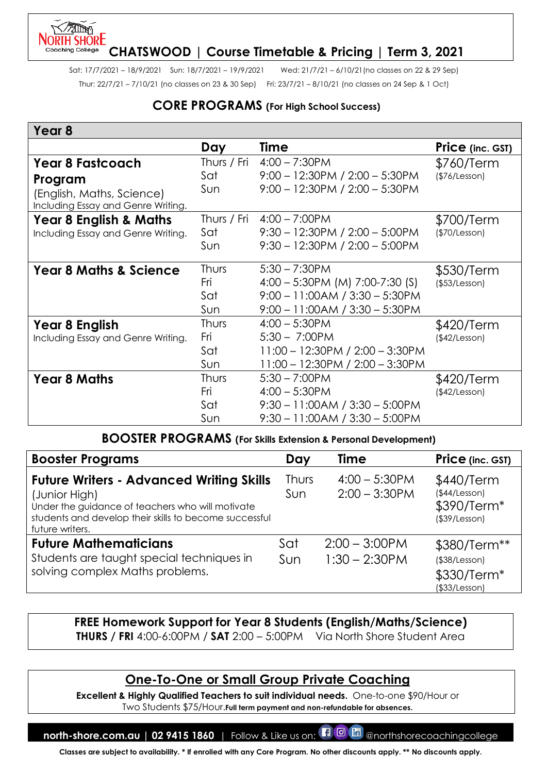#### NORTH SHORE **CHATSWOOD | Course Timetable & Pricing | Term 3, 2021** Coachina College

Sat: 17/7/2021 – 18/9/2021 Sun: 18/7/2021 – 19/9/2021 Wed: 21/7/21 – 6/10/21(no classes on 22 & 29 Sep) Thur: 22/7/21 – 7/10/21 (no classes on 23 & 30 Sep) Fri: 23/7/21 – 8/10/21 (no classes on 24 Sep & 1 Oct)

# **CORE PROGRAMS (For High School Success)**

# **Year 8**

|                                                                                                       | Day                               | Time                                                                                                                        | Price (inc. GST)             |
|-------------------------------------------------------------------------------------------------------|-----------------------------------|-----------------------------------------------------------------------------------------------------------------------------|------------------------------|
| <b>Year 8 Fastcoach</b><br>Program<br>(English, Maths, Science)<br>Including Essay and Genre Writing. | Thurs / Fri<br>Sat<br>Sun         | $4:00 - 7:30$ PM<br>$9:00 - 12:30PM / 2:00 - 5:30PM$<br>9:00 - 12:30PM / 2:00 - 5:30PM                                      | \$760/Term<br>(\$76/Lesson)  |
| <b>Year 8 English &amp; Maths</b><br>Including Essay and Genre Writing.                               | Thurs / Fri<br>Sat<br>Sun         | $4:00 - 7:00$ PM<br>$9:30 - 12:30PM / 2:00 - 5:00PM$<br>$9:30 - 12:30PM / 2:00 - 5:00PM$                                    | \$700/Term<br>(\$70/Lesson)  |
| <b>Year 8 Maths &amp; Science</b>                                                                     | <b>Thurs</b><br>Fri<br>Sat<br>Sun | $5:30 - 7:30$ PM<br>4:00 - 5:30PM (M) 7:00-7:30 (S)<br>$9:00 - 11:00AM / 3:30 - 5:30PM$<br>$9:00 - 11:00AM / 3:30 - 5:30PM$ | \$530/Term<br>( \$53/Lesson) |
| <b>Year 8 English</b><br>Including Essay and Genre Writing.                                           | <b>Thurs</b><br>Fri<br>Sat<br>Sun | $4:00 - 5:30$ PM<br>$5:30 - 7:00$ PM<br>$11:00 - 12:30$ PM / $2:00 - 3:30$ PM<br>$11:00 - 12:30$ PM / $2:00 - 3:30$ PM      | \$420/Term<br>(\$42/Lesson)  |
| <b>Year 8 Maths</b>                                                                                   | <b>Thurs</b><br>Fri<br>Sat<br>Sun | $5:30 - 7:00$ PM<br>$4:00 - 5:30$ PM<br>$9:30 - 11:00AM / 3:30 - 5:00PM$<br>$9:30 - 11:00AM / 3:30 - 5:00PM$                | \$420/Term<br>(\$42/Lesson)  |

#### **BOOSTER PROGRAMS (For Skills Extension & Personal Development)**

| <b>Booster Programs</b>                                                                                                                                                                           | Day                 | Time                                 | <b>Price (inc. GST)</b>                                       |
|---------------------------------------------------------------------------------------------------------------------------------------------------------------------------------------------------|---------------------|--------------------------------------|---------------------------------------------------------------|
| <b>Future Writers - Advanced Writing Skills</b><br>(Junior High)<br>Under the guidance of teachers who will motivate<br>students and develop their skills to become successful<br>future writers. | <b>Thurs</b><br>Sun | $4:00 - 5:30$ PM<br>$2:00 - 3:30$ PM | \$440/Term<br>(\$44/Lesson)<br>\$390/Term*<br>(\$39/Lesson)   |
| <b>Future Mathematicians</b><br>Students are taught special techniques in<br>solving complex Maths problems.                                                                                      | Sat<br>Sun          | $2:00 - 3:00$ PM<br>$1:30 - 2:30$ PM | \$380/Term**<br>(\$38/Lesson)<br>\$330/Term*<br>(\$33/Lesson) |

**FREE Homework Support for Year 8 Students (English/Maths/Science)** 

**THURS / FRI** 4:00-6:00PM / **SAT** 2:00 – 5:00PM Via North Shore Student Area

# **One-To-One or Small Group Private Coaching**

**Excellent & Highly Qualified Teachers to suit individual needs.** One-to-one \$90/Hour or Two Students \$75/Hour.**Full term payment and non-refundable for absences.**

**north-shore.com.au | 02 9415 1860** | Follow & Like us on:  $\Box$  @ morthshorecoachingcollege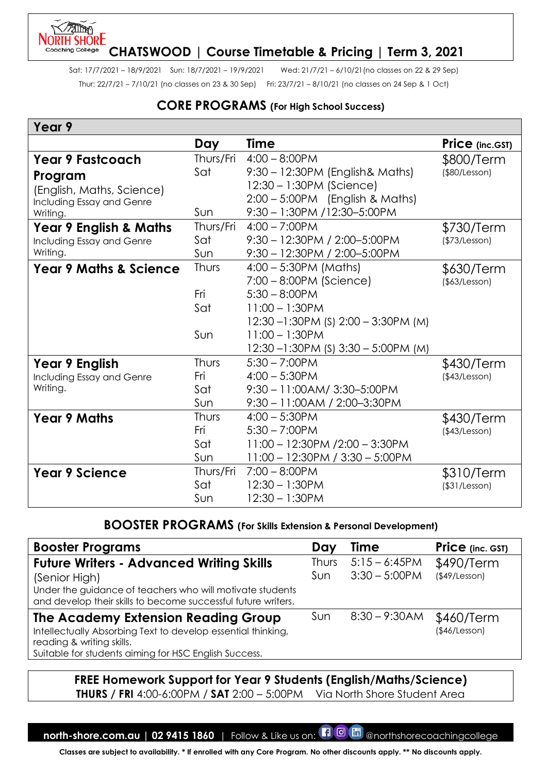# **NORTH SHORE CHATSWOOD | Course Timetable & Pricing | Term 3, 2021**

Sat: 17/7/2021 – 18/9/2021 Sun: 18/7/2021 – 19/9/2021 Wed: 21/7/21 – 6/10/21(no classes on 22 & 29 Sep) Thur: 22/7/21 – 7/10/21 (no classes on 23 & 30 Sep) Fri: 23/7/21 – 8/10/21 (no classes on 24 Sep & 1 Oct)

## **CORE PROGRAMS (For High School Success)**

# **Year 9**

|                                   | Day       | <b>Time</b>                                | Price (inc.GST) |
|-----------------------------------|-----------|--------------------------------------------|-----------------|
| <b>Year 9 Fastcoach</b>           | Thurs/Fri | $4:00 - 8:00$ PM                           | \$800/Term      |
| Program                           | Sat       | 9:30 - 12:30PM (English & Maths)           | (\$80/Lesson)   |
| (English, Maths, Science)         |           | 12:30 - 1:30PM (Science)                   |                 |
| Including Essay and Genre         |           | $2:00 - 5:00$ PM (English & Maths)         |                 |
| Writing.                          | Sun       | 9:30 - 1:30PM /12:30-5:00PM                |                 |
| <b>Year 9 English &amp; Maths</b> | Thurs/Fri | $4:00 - 7:00$ PM                           | \$730/Term      |
| Including Essay and Genre         | Sat       | $9:30 - 12:30PM / 2:00 - 5:00PM$           | (\$73/Lesson)   |
| Writing.                          | Sun       | $9:30 - 12:30PM / 2:00 - 5:00PM$           |                 |
| <b>Year 9 Maths &amp; Science</b> | Thurs     | $4:00 - 5:30PM$ (Maths)                    | \$630/Term      |
|                                   |           | $7:00 - 8:00$ PM (Science)                 | (\$3/Lesson)    |
|                                   | Fri       | $5:30 - 8:00$ PM                           |                 |
|                                   | Sat       | $11:00 - 1:30$ PM                          |                 |
|                                   |           | 12:30 -1:30PM (S) 2:00 - 3:30PM (M)        |                 |
|                                   | Sun       | $11:00 - 1:30$ PM                          |                 |
|                                   |           | $12:30 - 1:30$ PM (S) $3:30 - 5:00$ PM (M) |                 |
| Year 9 English                    | Thurs     | $5:30 - 7:00$ PM                           | \$430/Term      |
| Including Essay and Genre         | Fri       | $4:00 - 5:30$ PM                           | (\$43/Lesson)   |
| Writing.                          | Sat       | $9:30 - 11:00AM/3:30 - 5:00PM$             |                 |
|                                   | Sun       | 9:30 - 11:00AM / 2:00-3:30PM               |                 |
| <b>Year 9 Maths</b>               | Thurs     | $4:00 - 5:30$ PM                           | \$430/Term      |
|                                   | Fri       | $5:30 - 7:00$ PM                           | (\$43/Lesson)   |
|                                   | Sat       | $11:00 - 12:30$ PM $/2:00 - 3:30$ PM       |                 |
|                                   | Sun       | $11:00 - 12:30PM / 3:30 - 5:00PM$          |                 |
| <b>Year 9 Science</b>             | Thurs/Fri | $7:00 - 8:00$ PM                           | \$310/Term      |
|                                   | Sat       | $12:30 - 1:30$ PM                          | (\$31/Lesson)   |
|                                   | Sun       | $12:30 - 1:30$ PM                          |                 |

# **BOOSTER PROGRAMS (For Skills Extension & Personal Development)**

| <b>Booster Programs</b>                                                                                                                                                                          | Day                 | <b>Time</b>                         | <b>Price</b> (inc. GST)           |
|--------------------------------------------------------------------------------------------------------------------------------------------------------------------------------------------------|---------------------|-------------------------------------|-----------------------------------|
| <b>Future Writers - Advanced Writing Skills</b><br>(Senior High)<br>Under the guidance of teachers who will motivate students<br>and develop their skills to become successful future writers.   | <b>Thurs</b><br>Sun | $5:15 - 6:45PM$<br>$3:30 - 5:00$ PM | \$490/Term<br>$($ \$49/Lesson $)$ |
| <b>The Academy Extension Reading Group</b><br>Intellectually Absorbing Text to develop essential thinking,<br>reading & writing skills.<br>Suitable for students aiming for HSC English Success. | Sun                 | $8:30 - 9:30$ AM                    | \$460/Term<br>(\$46/Lesson)       |

# **FREE Homework Support for Year 9 Students (English/Maths/Science)**

**THURS / FRI** 4:00-6:00PM / **SAT** 2:00 – 5:00PM Via North Shore Student Area

**north-shore.com.au | 02 9415 1860** | Follow & Like us on: **[1 0 m** @northshorecoachingcollege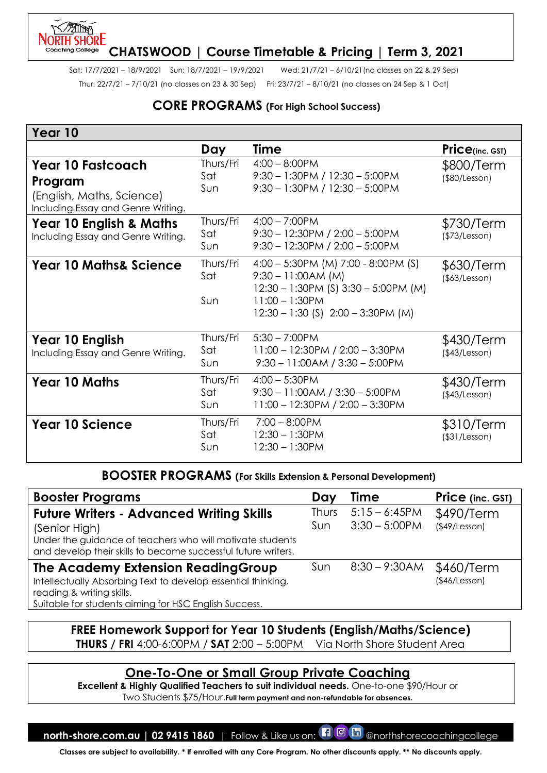Sat: 17/7/2021 – 18/9/2021 Sun: 18/7/2021 – 19/9/2021 Wed: 21/7/21 – 6/10/21(no classes on 22 & 29 Sep) Thur: 22/7/21 – 7/10/21 (no classes on 23 & 30 Sep) Fri: 23/7/21 – 8/10/21 (no classes on 24 Sep & 1 Oct)

# **CORE PROGRAMS (For High School Success)**

| Year 10                                                                                         |                                |                                                                                                                                                                          |                                   |
|-------------------------------------------------------------------------------------------------|--------------------------------|--------------------------------------------------------------------------------------------------------------------------------------------------------------------------|-----------------------------------|
|                                                                                                 | Day                            | <b>Time</b>                                                                                                                                                              | <b>Price</b> (inc. GST)           |
| Year 10 Fastcoach<br>Program<br>(English, Maths, Science)<br>Including Essay and Genre Writing. | Thurs/Fri<br>Sat<br>Sun        | $4:00 - 8:00$ PM<br>$9:30 - 1:30$ PM / 12:30 - 5:00PM<br>$9:30 - 1:30$ PM / $12:30 - 5:00$ PM                                                                            | \$800/Term<br>(\$80/Lesson)       |
| <b>Year 10 English &amp; Maths</b><br>Including Essay and Genre Writing.                        | Thurs/Fri<br>Sat<br><b>Sun</b> | $4:00 - 7:00$ PM<br>$9:30 - 12:30PM / 2:00 - 5:00PM$<br>$9:30 - 12:30PM / 2:00 - 5:00PM$                                                                                 | \$730/Term<br>(\$73/Lesson)       |
| Year 10 Maths& Science                                                                          | Thurs/Fri<br>Sat<br><b>Sun</b> | 4:00 - 5:30PM (M) 7:00 - 8:00PM (S)<br>$9:30 - 11:00AM(M)$<br>$12:30 - 1:30$ PM (S) $3:30 - 5:00$ PM (M)<br>$11:00 - 1:30$ PM<br>$12:30 - 1:30$ (S) $2:00 - 3:30$ PM (M) | \$630/Term<br>(\$3/Lesson)        |
| Year 10 English<br>Including Essay and Genre Writing.                                           | Thurs/Fri<br>Sat<br>Sun        | $5:30 - 7:00$ PM<br>$11:00 - 12:30PM / 2:00 - 3:30PM$<br>$9:30 - 11:00AM / 3:30 - 5:00PM$                                                                                | \$430/Term<br>(\$43/Lesson)       |
| <b>Year 10 Maths</b>                                                                            | Thurs/Fri<br>Sat<br>Sun        | $4:00 - 5:30$ PM<br>$9:30 - 11:00AM / 3:30 - 5:00PM$<br>$11:00 - 12:30PM / 2:00 - 3:30PM$                                                                                | \$430/Term<br>(\$43/Lesson)       |
| <b>Year 10 Science</b>                                                                          | Thurs/Fri<br>Sat<br>Sun        | $7:00 - 8:00$ PM<br>$12:30 - 1:30$ PM<br>$12:30 - 1:30$ PM                                                                                                               | \$310/Term<br>$($ \$31/Lesson $)$ |

#### **BOOSTER PROGRAMS (For Skills Extension & Personal Development)**

| <b>Booster Programs</b>                                                                                                                                                                        | Day                 | <b>Time</b>                         | Price (inc. GST)                  |
|------------------------------------------------------------------------------------------------------------------------------------------------------------------------------------------------|---------------------|-------------------------------------|-----------------------------------|
| <b>Future Writers - Advanced Writing Skills</b><br>(Senior High)<br>Under the guidance of teachers who will motivate students<br>and develop their skills to become successful future writers. | <b>Thurs</b><br>Sun | $5:15 - 6:45PM$<br>$3:30 - 5:00$ PM | \$490/Term<br>$($ \$49/Lesson $)$ |
| The Academy Extension Reading Group<br>Intellectually Absorbing Text to develop essential thinking,<br>reading & writing skills.<br>Suitable for students aiming for HSC English Success.      | Sun                 | $8:30 - 9:30$ AM                    | \$460/Term<br>(\$46/Lesson)       |

## **FREE Homework Support for Year 10 Students (English/Maths/Science) THURS / FRI** 4:00-6:00PM / **SAT** 2:00 – 5:00PM Via North Shore Student Area

# **One-To-One or Small Group Private Coaching**

**Excellent & Highly Qualified Teachers to suit individual needs.** One-to-one \$90/Hour or Two Students \$75/Hour.**Full term payment and non-refundable for absences.**

**north-shore.com.au | 02 9415 1860** | Follow & Like us on:  $\Box$  @ morthshorecoachingcollege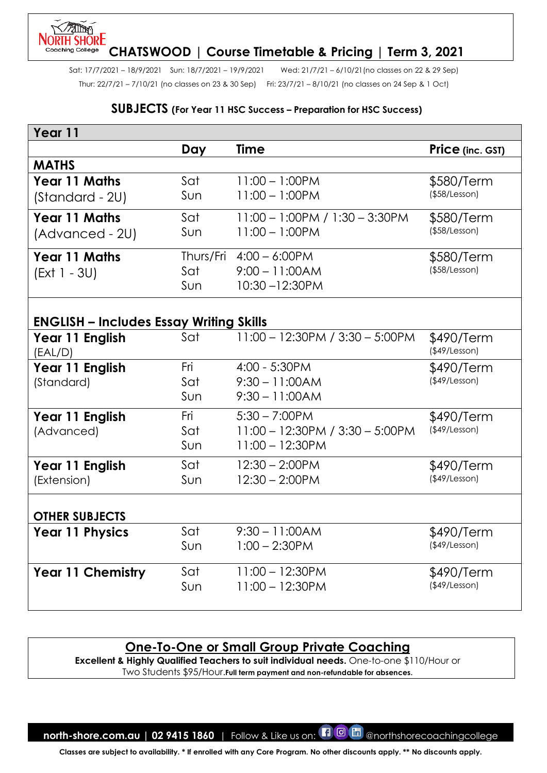#### **NORTH SHORE CHATSWOOD | Course Timetable & Pricing | Term 3, 2021** Coachina College

Sat: 17/7/2021 – 18/9/2021 Sun: 18/7/2021 – 19/9/2021 Wed: 21/7/21 – 6/10/21(no classes on 22 & 29 Sep) Thur: 22/7/21 – 7/10/21 (no classes on 23 & 30 Sep) Fri: 23/7/21 – 8/10/21 (no classes on 24 Sep & 1 Oct)

#### **SUBJECTS (For Year 11 HSC Success – Preparation for HSC Success)**

| Year 11                                        |     |                                       |                                   |
|------------------------------------------------|-----|---------------------------------------|-----------------------------------|
|                                                | Day | <b>Time</b>                           | Price (inc. GST)                  |
| <b>MATHS</b>                                   |     |                                       |                                   |
| Year 11 Maths                                  | Sat | $11:00 - 1:00$ PM                     | \$580/Term                        |
| (Standard - 2U)                                | Sun | $11:00 - 1:00$ PM                     | $($ \$58/Lesson $)$               |
| Year 11 Maths                                  | Sat | $11:00 - 1:00$ PM / $1:30 - 3:30$ PM  | \$580/Term                        |
| (Advanced - 2U)                                | Sun | $11:00 - 1:00$ PM                     | $($ \$58/Lesson $)$               |
| Year 11 Maths                                  |     | Thurs/Fri 4:00 - 6:00PM               | \$580/Term                        |
| $(Ext 1 - 3U)$                                 | Sat | $9:00 - 11:00AM$                      | (\$58/Lesson)                     |
|                                                | Sun | 10:30-12:30PM                         |                                   |
|                                                |     |                                       |                                   |
| <b>ENGLISH - Includes Essay Writing Skills</b> |     |                                       |                                   |
| Year 11 English<br>(EAL/D)                     | Sat | $11:00 - 12:30$ PM / $3:30 - 5:00$ PM | \$490/Term<br>$($ \$49/Lesson $)$ |
| Year 11 English                                | Fri | 4:00 - 5:30PM                         | \$490/Term                        |
| (Standard)                                     | Sat | $9:30 - 11:00AM$                      | (\$49/Lesson)                     |
|                                                | Sun | $9:30 - 11:00AM$                      |                                   |
| Year 11 English                                | Fri | $5:30 - 7:00$ PM                      | \$490/Term                        |
| (Advanced)                                     | Sat | 11:00 - 12:30PM / 3:30 - 5:00PM       | (\$49/Lesson)                     |
|                                                | Sun | $11:00 - 12:30PM$                     |                                   |
| Year 11 English                                | Sat | $12:30 - 2:00$ PM                     | \$490/Term                        |
| (Extension)                                    | Sun | $12:30 - 2:00$ PM                     | (\$49/Lesson)                     |
|                                                |     |                                       |                                   |
| <b>OTHER SUBJECTS</b>                          |     |                                       |                                   |
| <b>Year 11 Physics</b>                         | Sat | $9:30 - 11:00AM$                      | \$490/Term                        |
|                                                | Sun | $1:00 - 2:30$ PM                      | $($ \$49/Lesson $)$               |
| <b>Year 11 Chemistry</b>                       | Sat | $11:00 - 12:30$ PM                    | \$490/Term                        |
|                                                | Sun | $11:00 - 12:30$ PM                    | $($ \$49/Lesson $)$               |
|                                                |     |                                       |                                   |

# **One-To-One or Small Group Private Coaching**

**Excellent & Highly Qualified Teachers to suit individual needs.** One-to-one \$110/Hour or Two Students \$95/Hour.**Full term payment and non-refundable for absences.**

**north-shore.com.au | 02 9415 1860** | Follow & Like us on: **[1 0 m** @northshorecoachingcollege